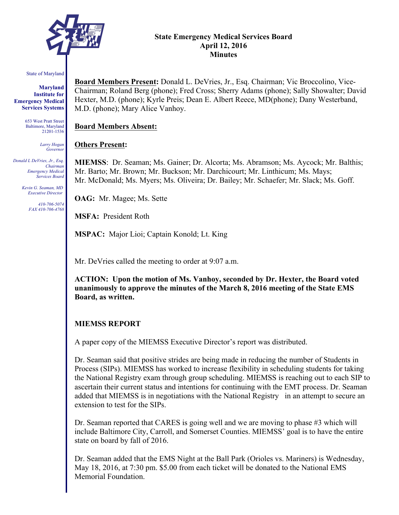

#### **State Emergency Medical Services Board April 12, 2016 Minutes**

#### State of Maryland

**Maryland Institute for Emergency Medical Services Systems**

> 653 West Pratt Street Baltimore, Maryland 21201-1536

> > *Larry Hogan Governor*

*Donald L DeVries, Jr., Esq. Chairman Emergency Medical Services Board*

> *Kevin G. Seaman, MD Executive Director*

> > *410-706-5074 FAX 410-706-4768*

**Board Members Present:** Donald L. DeVries, Jr., Esq. Chairman; Vic Broccolino, Vice-Chairman; Roland Berg (phone); Fred Cross; Sherry Adams (phone); Sally Showalter; David Hexter, M.D. (phone); Kyrle Preis; Dean E. Albert Reece, MD(phone); Dany Westerband, M.D. (phone); Mary Alice Vanhoy.

#### **Board Members Absent:**

#### **Others Present:**

**MIEMSS**: Dr. Seaman; Ms. Gainer; Dr. Alcorta; Ms. Abramson; Ms. Aycock; Mr. Balthis; Mr. Barto; Mr. Brown; Mr. Buckson; Mr. Darchicourt; Mr. Linthicum; Ms. Mays; Mr. McDonald; Ms. Myers; Ms. Oliveira; Dr. Bailey; Mr. Schaefer; Mr. Slack; Ms. Goff.

**OAG:** Mr. Magee; Ms. Sette

**MSFA:** President Roth

**MSPAC:** Major Lioi; Captain Konold; Lt. King

Mr. DeVries called the meeting to order at 9:07 a.m.

**ACTION: Upon the motion of Ms. Vanhoy, seconded by Dr. Hexter, the Board voted unanimously to approve the minutes of the March 8, 2016 meeting of the State EMS Board, as written.**

#### **MIEMSS REPORT**

A paper copy of the MIEMSS Executive Director's report was distributed.

Dr. Seaman said that positive strides are being made in reducing the number of Students in Process (SIPs). MIEMSS has worked to increase flexibility in scheduling students for taking the National Registry exam through group scheduling. MIEMSS is reaching out to each SIP to ascertain their current status and intentions for continuing with the EMT process. Dr. Seaman added that MIEMSS is in negotiations with the National Registry in an attempt to secure an extension to test for the SIPs.

Dr. Seaman reported that CARES is going well and we are moving to phase #3 which will include Baltimore City, Carroll, and Somerset Counties. MIEMSS' goal is to have the entire state on board by fall of 2016.

Dr. Seaman added that the EMS Night at the Ball Park (Orioles vs. Mariners) is Wednesday, May 18, 2016, at 7:30 pm. \$5.00 from each ticket will be donated to the National EMS Memorial Foundation.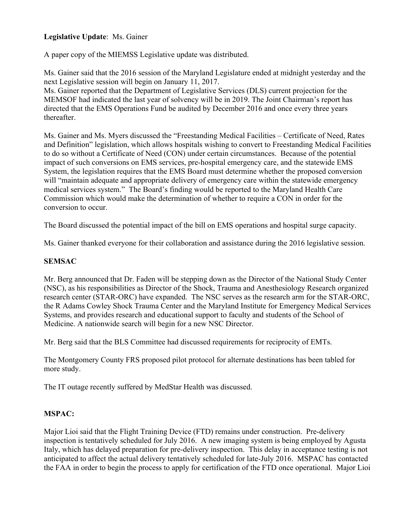# **Legislative Update**: Ms. Gainer

A paper copy of the MIEMSS Legislative update was distributed.

Ms. Gainer said that the 2016 session of the Maryland Legislature ended at midnight yesterday and the next Legislative session will begin on January 11, 2017.

Ms. Gainer reported that the Department of Legislative Services (DLS) current projection for the MEMSOF had indicated the last year of solvency will be in 2019. The Joint Chairman's report has directed that the EMS Operations Fund be audited by December 2016 and once every three years thereafter.

Ms. Gainer and Ms. Myers discussed the "Freestanding Medical Facilities – Certificate of Need, Rates and Definition" legislation, which allows hospitals wishing to convert to Freestanding Medical Facilities to do so without a Certificate of Need (CON) under certain circumstances. Because of the potential impact of such conversions on EMS services, pre-hospital emergency care, and the statewide EMS System, the legislation requires that the EMS Board must determine whether the proposed conversion will "maintain adequate and appropriate delivery of emergency care within the statewide emergency medical services system." The Board's finding would be reported to the Maryland Health Care Commission which would make the determination of whether to require a CON in order for the conversion to occur.

The Board discussed the potential impact of the bill on EMS operations and hospital surge capacity.

Ms. Gainer thanked everyone for their collaboration and assistance during the 2016 legislative session.

# **SEMSAC**

Mr. Berg announced that Dr. Faden will be stepping down as the Director of the National Study Center (NSC), as his responsibilities as Director of the Shock, Trauma and Anesthesiology Research organized research center (STAR-ORC) have expanded. The NSC serves as the research arm for the STAR-ORC, the R Adams Cowley Shock Trauma Center and the Maryland Institute for Emergency Medical Services Systems, and provides research and educational support to faculty and students of the School of Medicine. A nationwide search will begin for a new NSC Director.

Mr. Berg said that the BLS Committee had discussed requirements for reciprocity of EMTs.

The Montgomery County FRS proposed pilot protocol for alternate destinations has been tabled for more study.

The IT outage recently suffered by MedStar Health was discussed.

# **MSPAC:**

Major Lioi said that the Flight Training Device (FTD) remains under construction. Pre-delivery inspection is tentatively scheduled for July 2016. A new imaging system is being employed by Agusta Italy, which has delayed preparation for pre-delivery inspection. This delay in acceptance testing is not anticipated to affect the actual delivery tentatively scheduled for late-July 2016. MSPAC has contacted the FAA in order to begin the process to apply for certification of the FTD once operational. Major Lioi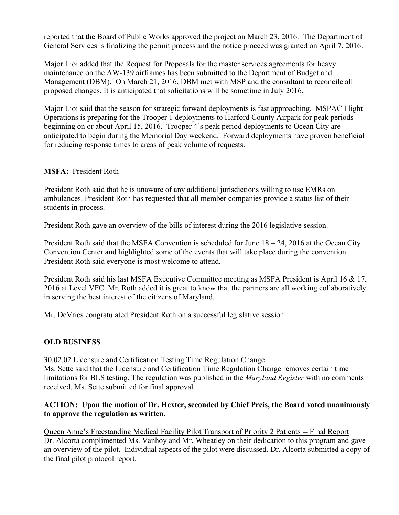reported that the Board of Public Works approved the project on March 23, 2016. The Department of General Services is finalizing the permit process and the notice proceed was granted on April 7, 2016.

Major Lioi added that the Request for Proposals for the master services agreements for heavy maintenance on the AW-139 airframes has been submitted to the Department of Budget and Management (DBM). On March 21, 2016, DBM met with MSP and the consultant to reconcile all proposed changes. It is anticipated that solicitations will be sometime in July 2016.

Major Lioi said that the season for strategic forward deployments is fast approaching. MSPAC Flight Operations is preparing for the Trooper 1 deployments to Harford County Airpark for peak periods beginning on or about April 15, 2016. Trooper 4's peak period deployments to Ocean City are anticipated to begin during the Memorial Day weekend. Forward deployments have proven beneficial for reducing response times to areas of peak volume of requests.

# **MSFA:** President Roth

President Roth said that he is unaware of any additional jurisdictions willing to use EMRs on ambulances. President Roth has requested that all member companies provide a status list of their students in process.

President Roth gave an overview of the bills of interest during the 2016 legislative session.

President Roth said that the MSFA Convention is scheduled for June 18 – 24, 2016 at the Ocean City Convention Center and highlighted some of the events that will take place during the convention. President Roth said everyone is most welcome to attend.

President Roth said his last MSFA Executive Committee meeting as MSFA President is April 16 & 17, 2016 at Level VFC. Mr. Roth added it is great to know that the partners are all working collaboratively in serving the best interest of the citizens of Maryland.

Mr. DeVries congratulated President Roth on a successful legislative session.

# **OLD BUSINESS**

30.02.02 Licensure and Certification Testing Time Regulation Change

Ms. Sette said that the Licensure and Certification Time Regulation Change removes certain time limitations for BLS testing. The regulation was published in the *Maryland Register* with no comments received. Ms. Sette submitted for final approval.

# **ACTION: Upon the motion of Dr. Hexter, seconded by Chief Preis, the Board voted unanimously to approve the regulation as written.**

Queen Anne's Freestanding Medical Facility Pilot Transport of Priority 2 Patients -- Final Report Dr. Alcorta complimented Ms. Vanhoy and Mr. Wheatley on their dedication to this program and gave an overview of the pilot. Individual aspects of the pilot were discussed. Dr. Alcorta submitted a copy of the final pilot protocol report.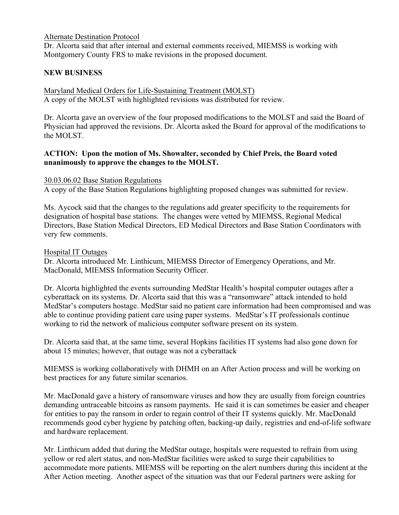#### Alternate Destination Protocol

Dr. Alcorta said that after internal and external comments received, MIEMSS is working with Montgomery County FRS to make revisions in the proposed document.

# **NEW BUSINESS**

Maryland Medical Orders for Life-Sustaining Treatment (MOLST) A copy of the MOLST with highlighted revisions was distributed for review.

Dr. Alcorta gave an overview of the four proposed modifications to the MOLST and said the Board of Physician had approved the revisions. Dr. Alcorta asked the Board for approval of the modifications to the MOLST.

# **ACTION: Upon the motion of Ms. Showalter, seconded by Chief Preis, the Board voted unanimously to approve the changes to the MOLST.**

#### 30.03.06.02 Base Station Regulations

A copy of the Base Station Regulations highlighting proposed changes was submitted for review.

Ms. Aycock said that the changes to the regulations add greater specificity to the requirements for designation of hospital base stations. The changes were vetted by MIEMSS, Regional Medical Directors, Base Station Medical Directors, ED Medical Directors and Base Station Coordinators with very few comments.

#### Hospital IT Outages

Dr. Alcorta introduced Mr. Linthicum, MIEMSS Director of Emergency Operations, and Mr. MacDonald, MIEMSS Information Security Officer.

Dr. Alcorta highlighted the events surrounding MedStar Health's hospital computer outages after a cyberattack on its systems. Dr. Alcorta said that this was a "ransomware" attack intended to hold MedStar's computers hostage. MedStar said no patient care information had been compromised and was able to continue providing patient care using paper systems. MedStar's IT professionals continue working to rid the network of malicious computer software present on its system.

Dr. Alcorta said that, at the same time, several Hopkins facilities IT systems had also gone down for about 15 minutes; however, that outage was not a cyberattack

MIEMSS is working collaboratively with DHMH on an After Action process and will be working on best practices for any future similar scenarios.

Mr. MacDonald gave a history of ransomware viruses and how they are usually from foreign countries demanding untraceable bitcoins as ransom payments. He said it is can sometimes be easier and cheaper for entities to pay the ransom in order to regain control of their IT systems quickly. Mr. MacDonald recommends good cyber hygiene by patching often, backing-up daily, registries and end-of-life software and hardware replacement.

Mr. Linthicum added that during the MedStar outage, hospitals were requested to refrain from using yellow or red alert status, and non-MedStar facilities were asked to surge their capabilities to accommodate more patients. MIEMSS will be reporting on the alert numbers during this incident at the After Action meeting. Another aspect of the situation was that our Federal partners were asking for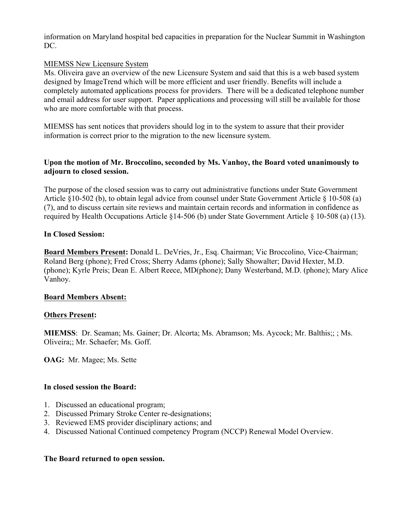information on Maryland hospital bed capacities in preparation for the Nuclear Summit in Washington DC.

# MIEMSS New Licensure System

Ms. Oliveira gave an overview of the new Licensure System and said that this is a web based system designed by ImageTrend which will be more efficient and user friendly. Benefits will include a completely automated applications process for providers. There will be a dedicated telephone number and email address for user support. Paper applications and processing will still be available for those who are more comfortable with that process.

MIEMSS has sent notices that providers should log in to the system to assure that their provider information is correct prior to the migration to the new licensure system.

# **Upon the motion of Mr. Broccolino, seconded by Ms. Vanhoy, the Board voted unanimously to adjourn to closed session.**

The purpose of the closed session was to carry out administrative functions under State Government Article §10-502 (b), to obtain legal advice from counsel under State Government Article § 10-508 (a) (7), and to discuss certain site reviews and maintain certain records and information in confidence as required by Health Occupations Article §14-506 (b) under State Government Article § 10-508 (a) (13).

# **In Closed Session:**

**Board Members Present:** Donald L. DeVries, Jr., Esq. Chairman; Vic Broccolino, Vice-Chairman; Roland Berg (phone); Fred Cross; Sherry Adams (phone); Sally Showalter; David Hexter, M.D. (phone); Kyrle Preis; Dean E. Albert Reece, MD(phone); Dany Westerband, M.D. (phone); Mary Alice Vanhoy.

#### **Board Members Absent:**

# **Others Present:**

**MIEMSS**: Dr. Seaman; Ms. Gainer; Dr. Alcorta; Ms. Abramson; Ms. Aycock; Mr. Balthis;; ; Ms. Oliveira;; Mr. Schaefer; Ms. Goff.

**OAG:** Mr. Magee; Ms. Sette

# **In closed session the Board:**

- 1. Discussed an educational program;
- 2. Discussed Primary Stroke Center re-designations;
- 3. Reviewed EMS provider disciplinary actions; and
- 4. Discussed National Continued competency Program (NCCP) Renewal Model Overview.

#### **The Board returned to open session.**